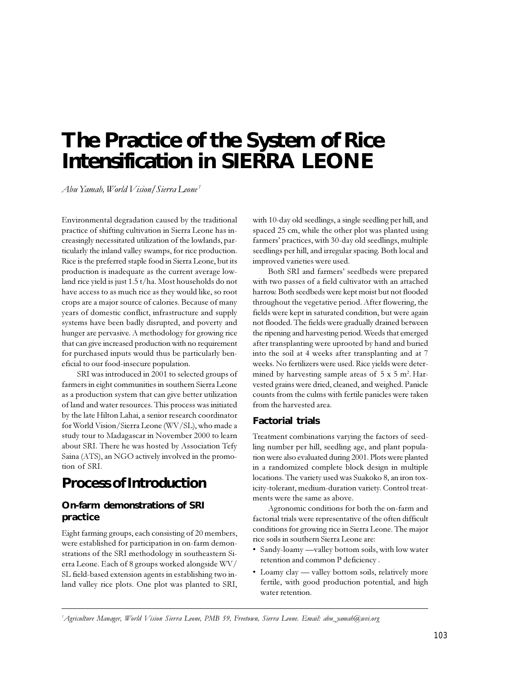# The Practice of the System of Rice **Intensification in SIERRA LEONE**

Abu Yamah, World Vision/Sierra Leone<sup>1</sup>

Environmental degradation caused by the traditional practice of shifting cultivation in Sierra Leone has increasingly necessitated utilization of the lowlands, particularly the inland valley swamps, for rice production. Rice is the preferred staple food in Sierra Leone, but its production is inadequate as the current average lowland rice yield is just  $1.5 t/ha$ . Most households do not have access to as much rice as they would like, so root crops are a major source of calories. Because of many years of domestic conflict, infrastructure and supply systems have been badly disrupted, and poverty and hunger are pervasive. A methodology for growing rice that can give increased production with no requirement for purchased inputs would thus be particularly beneficial to our food-insecure population.

SRI was introduced in 2001 to selected groups of farmers in eight communities in southern Sierra Leone as a production system that can give better utilization of land and water resources. This process was initiated by the late Hilton Lahai, a senior research coordinator for World Vision/Sierra Leone (WV/SL), who made a study tour to Madagascar in November 2000 to learn about SRI. There he was hosted by Association Tefy Saina (ATS), an NGO actively involved in the promotion of SRI.

### **Process of Introduction**

#### On-farm demonstrations of SRI practice

Eight farming groups, each consisting of 20 members, were established for participation in on-farm demonstrations of the SRI methodology in southeastern Sierra Leone. Each of 8 groups worked alongside WV/ SL field-based extension agents in establishing two inland valley rice plots. One plot was planted to SRI, with 10-day old seedlings, a single seedling per hill, and spaced 25 cm, while the other plot was planted using farmers' practices, with 30-day old seedlings, multiple seedlings per hill, and irregular spacing. Both local and improved varieties were used.

Both SRI and farmers' seedbeds were prepared with two passes of a field cultivator with an attached harrow. Both seedbeds were kept moist but not flooded throughout the vegetative period. After flowering, the fields were kept in saturated condition, but were again not flooded. The fields were gradually drained between the ripening and harvesting period. Weeds that emerged after transplanting were uprooted by hand and buried into the soil at 4 weeks after transplanting and at 7 weeks. No fertilizers were used. Rice yields were determined by harvesting sample areas of  $5 \times 5$  m<sup>2</sup>. Harvested grains were dried, cleaned, and weighed. Panicle counts from the culms with fertile panicles were taken from the harvested area.

#### **Factorial trials**

Treatment combinations varying the factors of seedling number per hill, seedling age, and plant population were also evaluated during 2001. Plots were planted in a randomized complete block design in multiple locations. The variety used was Suakoko 8, an iron toxicity-tolerant, medium-duration variety. Control treatments were the same as above.

Agronomic conditions for both the on-farm and factorial trials were representative of the often difficult conditions for growing rice in Sierra Leone. The major rice soils in southern Sierra Leone are:

- · Sandy-loamy —valley bottom soils, with low water retention and common P deficiency.
- Loamy clay valley bottom soils, relatively more fertile, with good production potential, and high water retention.

<sup>&#</sup>x27;Agriculture Manager, World Vision Sierra Leone, PMB 59, Freetown, Sierra Leone. Email: abu\_yamah@wvi.org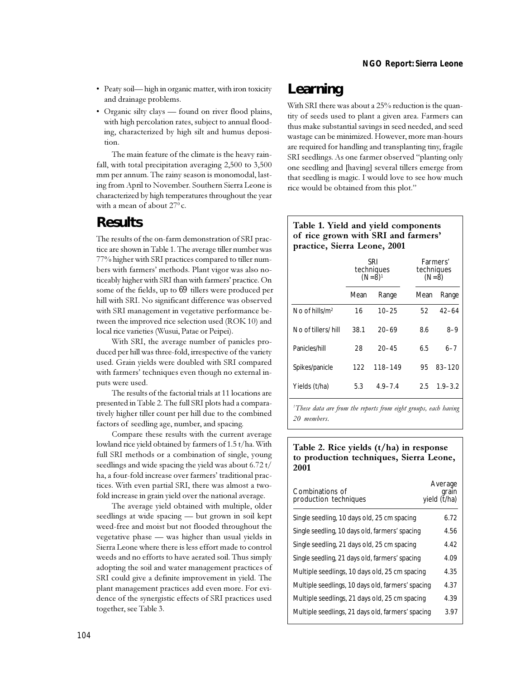- · Peaty soil-high in organic matter, with iron toxicity and drainage problems.
- Organic silty clays found on river flood plains, with high percolation rates, subject to annual flooding, characterized by high silt and humus deposition.

The main feature of the climate is the heavy rainfall, with total precipitation averaging 2,500 to 3,500 mm per annum. The rainy season is monomodal, lasting from April to November. Southern Sierra Leone is characterized by high temperatures throughout the year with a mean of about  $27^{\circ}$ c.

### **Results**

The results of the on-farm demonstration of SRI practice are shown in Table 1. The average tiller number was 77% higher with SRI practices compared to tiller numbers with farmers' methods. Plant vigor was also noticeably higher with SRI than with farmers' practice. On some of the fields, up to 69 tillers were produced per hill with SRI. No significant difference was observed with SRI management in vegetative performance between the improved rice selection used (ROK 10) and local rice varieties (Wusui, Patae or Peipei).

With SRI, the average number of panicles produced per hill was three-fold, irrespective of the variety used. Grain yields were doubled with SRI compared with farmers' techniques even though no external inputs were used.

The results of the factorial trials at 11 locations are presented in Table 2. The full SRI plots had a comparatively higher tiller count per hill due to the combined factors of seedling age, number, and spacing.

Compare these results with the current average lowland rice yield obtained by farmers of 1.5 t/ha. With full SRI methods or a combination of single, young seedlings and wide spacing the yield was about 6.72 t/ ha, a four-fold increase over farmers' traditional practices. With even partial SRI, there was almost a twofold increase in grain yield over the national average.

The average yield obtained with multiple, older seedlings at wide spacing - but grown in soil kept weed-free and moist but not flooded throughout the vegetative phase - was higher than usual yields in Sierra Leone where there is less effort made to control weeds and no efforts to have aerated soil. Thus simply adopting the soil and water management practices of SRI could give a definite improvement in yield. The plant management practices add even more. For evidence of the synergistic effects of SRI practices used together, see Table 3.

## Learning

With SRI there was about a 25% reduction is the quantity of seeds used to plant a given area. Farmers can thus make substantial savings in seed needed, and seed wastage can be minimized. However, more man-hours are required for handling and transplanting tiny, fragile SRI seedlings. As one farmer observed "planting only one seedling and [having] several tillers emerge from that seedling is magic. I would love to see how much rice would be obtained from this plot."

### Table 1. Yield and yield components of rice grown with SRI and farmers' practice, Sierra Leone, 2001

|                    | SRI<br>techniques<br>$(N=8)^1$ |             | Farmers'<br>techniques<br>$(N=8)$ |             |
|--------------------|--------------------------------|-------------|-----------------------------------|-------------|
|                    | Mean                           | Range       | Mean                              | Range       |
| No of hills/ $m^2$ | 16                             | $10 - 25$   | 52                                | $42 - 64$   |
| No of tillers/hill | 38.1                           | $20 - 69$   | 8.6                               | 8–9         |
| Panicles/hill      | 28                             | $20 - 45$   | 6.5                               | 6–7         |
| Spikes/panicle     | 122                            | 118-149     | 95                                | 83-120      |
| Yields (t/ha)      | 5.3                            | $4.9 - 7.4$ | 2.5                               | $1.9 - 3.2$ |

<sup>1</sup>These data are from the reports from eight groups, each having 20 members.

#### Table 2. Rice yields  $(t/ha)$  in response to production techniques, Sierra Leone, 2001

| Combinations of<br>production techniques          | Average<br>grain<br>vield (t/ha) |
|---------------------------------------------------|----------------------------------|
| Single seedling, 10 days old, 25 cm spacing       | 6.72                             |
| Single seedling, 10 days old, farmers' spacing    | 4.56                             |
| Single seedling, 21 days old, 25 cm spacing       | 4.42                             |
| Single seedling, 21 days old, farmers' spacing    | 4.09                             |
| Multiple seedlings, 10 days old, 25 cm spacing    | 4.35                             |
| Multiple seedlings, 10 days old, farmers' spacing | 4.37                             |
| Multiple seedlings, 21 days old, 25 cm spacing    | 4.39                             |
| Multiple seedlings, 21 days old, farmers' spacing | 3.97                             |